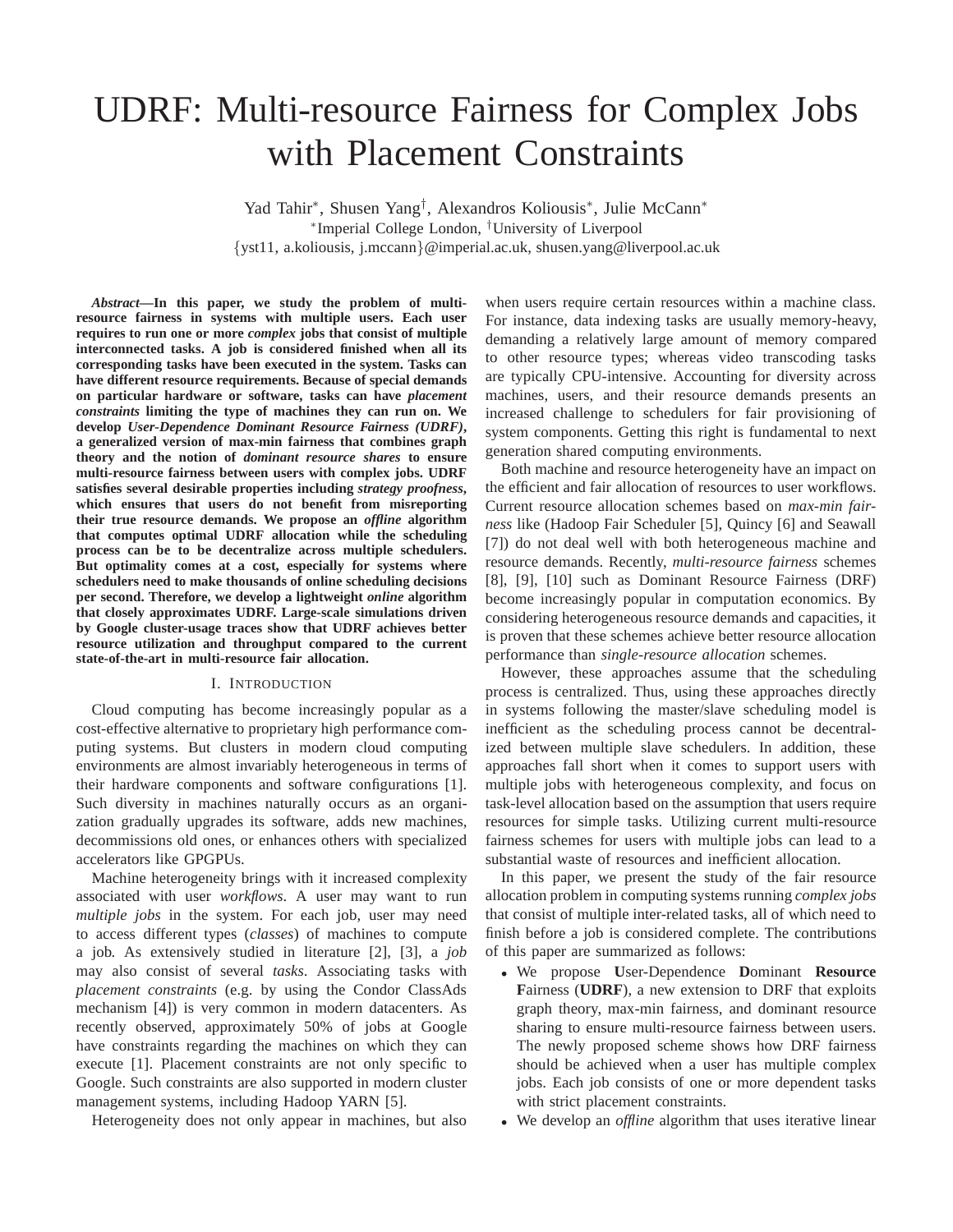# UDRF: Multi-resource Fairness for Complex Jobs with Placement Constraints

Yad Tahir<sup>∗</sup> , Shusen Yang† , Alexandros Koliousis<sup>∗</sup> , Julie McCann<sup>∗</sup> ∗ Imperial College London, †University of Liverpool {yst11, a.koliousis, j.mccann}@imperial.ac.uk, shusen.yang@liverpool.ac.uk

*Abstract***—In this paper, we study the problem of multiresource fairness in systems with multiple users. Each user requires to run one or more** *complex* **jobs that consist of multiple interconnected tasks. A job is considered finished when all its corresponding tasks have been executed in the system. Tasks can have different resource requirements. Because of special demands on particular hardware or software, tasks can have** *placement constraints* **limiting the type of machines they can run on. We develop** *User-Dependence Dominant Resource Fairness (UDRF)***, a generalized version of max-min fairness that combines graph theory and the notion of** *dominant resource shares* **to ensure multi-resource fairness between users with complex jobs. UDRF satisfies several desirable properties including** *strategy proofness***, which ensures that users do not benefit from misreporting their true resource demands. We propose an** *offline* **algorithm that computes optimal UDRF allocation while the scheduling process can be to be decentralize across multiple schedulers. But optimality comes at a cost, especially for systems where schedulers need to make thousands of online scheduling decisions per second. Therefore, we develop a lightweight** *online* **algorithm that closely approximates UDRF. Large-scale simulations driven by Google cluster-usage traces show that UDRF achieves better resource utilization and throughput compared to the current state-of-the-art in multi-resource fair allocation.**

## I. INTRODUCTION

Cloud computing has become increasingly popular as a cost-effective alternative to proprietary high performance computing systems. But clusters in modern cloud computing environments are almost invariably heterogeneous in terms of their hardware components and software configurations [1]. Such diversity in machines naturally occurs as an organization gradually upgrades its software, adds new machines, decommissions old ones, or enhances others with specialized accelerators like GPGPUs.

Machine heterogeneity brings with it increased complexity associated with user *workflows*. A user may want to run *multiple jobs* in the system. For each job, user may need to access different types (*classes*) of machines to compute a job. As extensively studied in literature [2], [3], a *job* may also consist of several *tasks*. Associating tasks with *placement constraints* (e.g. by using the Condor ClassAds mechanism [4]) is very common in modern datacenters. As recently observed, approximately 50% of jobs at Google have constraints regarding the machines on which they can execute [1]. Placement constraints are not only specific to Google. Such constraints are also supported in modern cluster management systems, including Hadoop YARN [5].

Heterogeneity does not only appear in machines, but also

when users require certain resources within a machine class. For instance, data indexing tasks are usually memory-heavy, demanding a relatively large amount of memory compared to other resource types; whereas video transcoding tasks are typically CPU-intensive. Accounting for diversity across machines, users, and their resource demands presents an increased challenge to schedulers for fair provisioning of system components. Getting this right is fundamental to next generation shared computing environments.

Both machine and resource heterogeneity have an impact on the efficient and fair allocation of resources to user workflows. Current resource allocation schemes based on *max-min fairness* like (Hadoop Fair Scheduler [5], Quincy [6] and Seawall [7]) do not deal well with both heterogeneous machine and resource demands. Recently, *multi-resource fairness* schemes [8], [9], [10] such as Dominant Resource Fairness (DRF) become increasingly popular in computation economics. By considering heterogeneous resource demands and capacities, it is proven that these schemes achieve better resource allocation performance than *single-resource allocation* schemes.

However, these approaches assume that the scheduling process is centralized. Thus, using these approaches directly in systems following the master/slave scheduling model is inefficient as the scheduling process cannot be decentralized between multiple slave schedulers. In addition, these approaches fall short when it comes to support users with multiple jobs with heterogeneous complexity, and focus on task-level allocation based on the assumption that users require resources for simple tasks. Utilizing current multi-resource fairness schemes for users with multiple jobs can lead to a substantial waste of resources and inefficient allocation.

In this paper, we present the study of the fair resource allocation problem in computing systems running *complex jobs* that consist of multiple inter-related tasks, all of which need to finish before a job is considered complete. The contributions of this paper are summarized as follows:

- We propose **U**ser-Dependence **D**ominant **Resource F**airness (**UDRF**), a new extension to DRF that exploits graph theory, max-min fairness, and dominant resource sharing to ensure multi-resource fairness between users. The newly proposed scheme shows how DRF fairness should be achieved when a user has multiple complex jobs. Each job consists of one or more dependent tasks with strict placement constraints.
- We develop an *offline* algorithm that uses iterative linear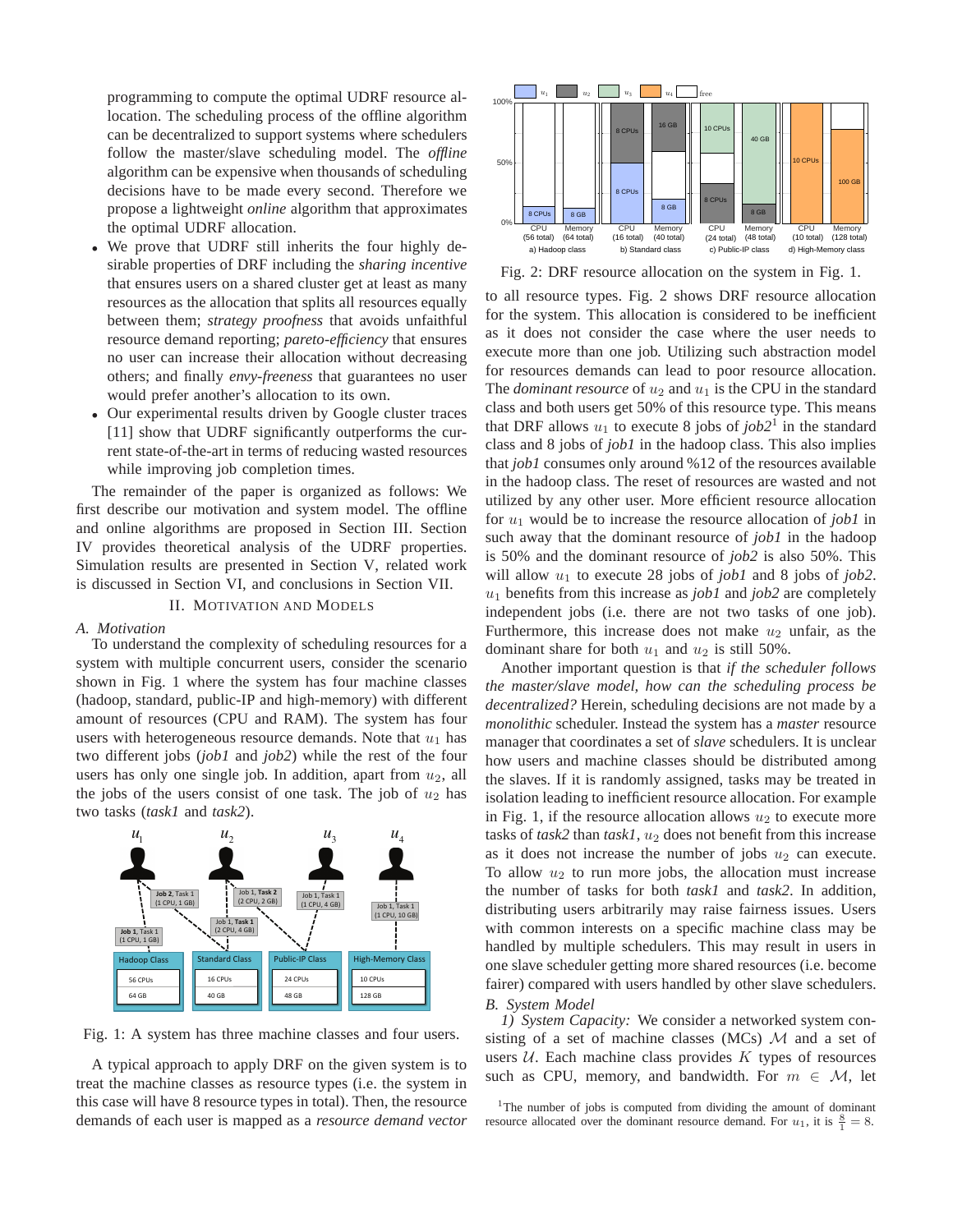programming to compute the optimal UDRF resource allocation. The scheduling process of the offline algorithm can be decentralized to support systems where schedulers follow the master/slave scheduling model. The *offline* algorithm can be expensive when thousands of scheduling decisions have to be made every second. Therefore we propose a lightweight *online* algorithm that approximates the optimal UDRF allocation.

- We prove that UDRF still inherits the four highly desirable properties of DRF including the *sharing incentive* that ensures users on a shared cluster get at least as many resources as the allocation that splits all resources equally between them; *strategy proofness* that avoids unfaithful resource demand reporting; *pareto-efficiency* that ensures no user can increase their allocation without decreasing others; and finally *envy-freeness* that guarantees no user would prefer another's allocation to its own.
- Our experimental results driven by Google cluster traces [11] show that UDRF significantly outperforms the current state-of-the-art in terms of reducing wasted resources while improving job completion times.

The remainder of the paper is organized as follows: We first describe our motivation and system model. The offline and online algorithms are proposed in Section III. Section IV provides theoretical analysis of the UDRF properties. Simulation results are presented in Section V, related work is discussed in Section VI, and conclusions in Section VII.

#### II. MOTIVATION AND MODELS

#### *A. Motivation*

To understand the complexity of scheduling resources for a system with multiple concurrent users, consider the scenario shown in Fig. 1 where the system has four machine classes (hadoop, standard, public-IP and high-memory) with different amount of resources (CPU and RAM). The system has four users with heterogeneous resource demands. Note that  $u_1$  has two different jobs (*job1* and *job2*) while the rest of the four users has only one single job. In addition, apart from  $u_2$ , all the jobs of the users consist of one task. The job of  $u_2$  has two tasks (*task1* and *task2*).



Fig. 1: A system has three machine classes and four users.

A typical approach to apply DRF on the given system is to treat the machine classes as resource types (i.e. the system in this case will have 8 resource types in total). Then, the resource demands of each user is mapped as a *resource demand vector*



Fig. 2: DRF resource allocation on the system in Fig. 1.

to all resource types. Fig. 2 shows DRF resource allocation for the system. This allocation is considered to be inefficient as it does not consider the case where the user needs to execute more than one job. Utilizing such abstraction model for resources demands can lead to poor resource allocation. The *dominant resource* of  $u_2$  and  $u_1$  is the CPU in the standard class and both users get 50% of this resource type. This means that DRF allows  $u_1$  to execute 8 jobs of  $job2<sup>1</sup>$  in the standard class and 8 jobs of *job1* in the hadoop class. This also implies that *job1* consumes only around %12 of the resources available in the hadoop class. The reset of resources are wasted and not utilized by any other user. More efficient resource allocation for u<sup>1</sup> would be to increase the resource allocation of *job1* in such away that the dominant resource of *job1* in the hadoop is 50% and the dominant resource of *job2* is also 50%. This will allow  $u_1$  to execute 28 jobs of *job1* and 8 jobs of *job2*.  $u_1$  benefits from this increase as *job1* and *job2* are completely independent jobs (i.e. there are not two tasks of one job). Furthermore, this increase does not make  $u_2$  unfair, as the dominant share for both  $u_1$  and  $u_2$  is still 50%.

Another important question is that *if the scheduler follows the master/slave model, how can the scheduling process be decentralized?* Herein, scheduling decisions are not made by a *monolithic* scheduler. Instead the system has a *master* resource manager that coordinates a set of *slave* schedulers. It is unclear how users and machine classes should be distributed among the slaves. If it is randomly assigned, tasks may be treated in isolation leading to inefficient resource allocation. For example in Fig. 1, if the resource allocation allows  $u_2$  to execute more tasks of  $task2$  than  $task1, u_2$  does not benefit from this increase as it does not increase the number of jobs  $u_2$  can execute. To allow  $u_2$  to run more jobs, the allocation must increase the number of tasks for both *task1* and *task2*. In addition, distributing users arbitrarily may raise fairness issues. Users with common interests on a specific machine class may be handled by multiple schedulers. This may result in users in one slave scheduler getting more shared resources (i.e. become fairer) compared with users handled by other slave schedulers. *B. System Model*

*1) System Capacity:* We consider a networked system consisting of a set of machine classes (MCs)  $\mathcal{M}$  and a set of users  $U$ . Each machine class provides  $K$  types of resources such as CPU, memory, and bandwidth. For  $m \in \mathcal{M}$ , let

<sup>1</sup>The number of jobs is computed from dividing the amount of dominant resource allocated over the dominant resource demand. For  $u_1$ , it is  $\frac{8}{1} = 8$ .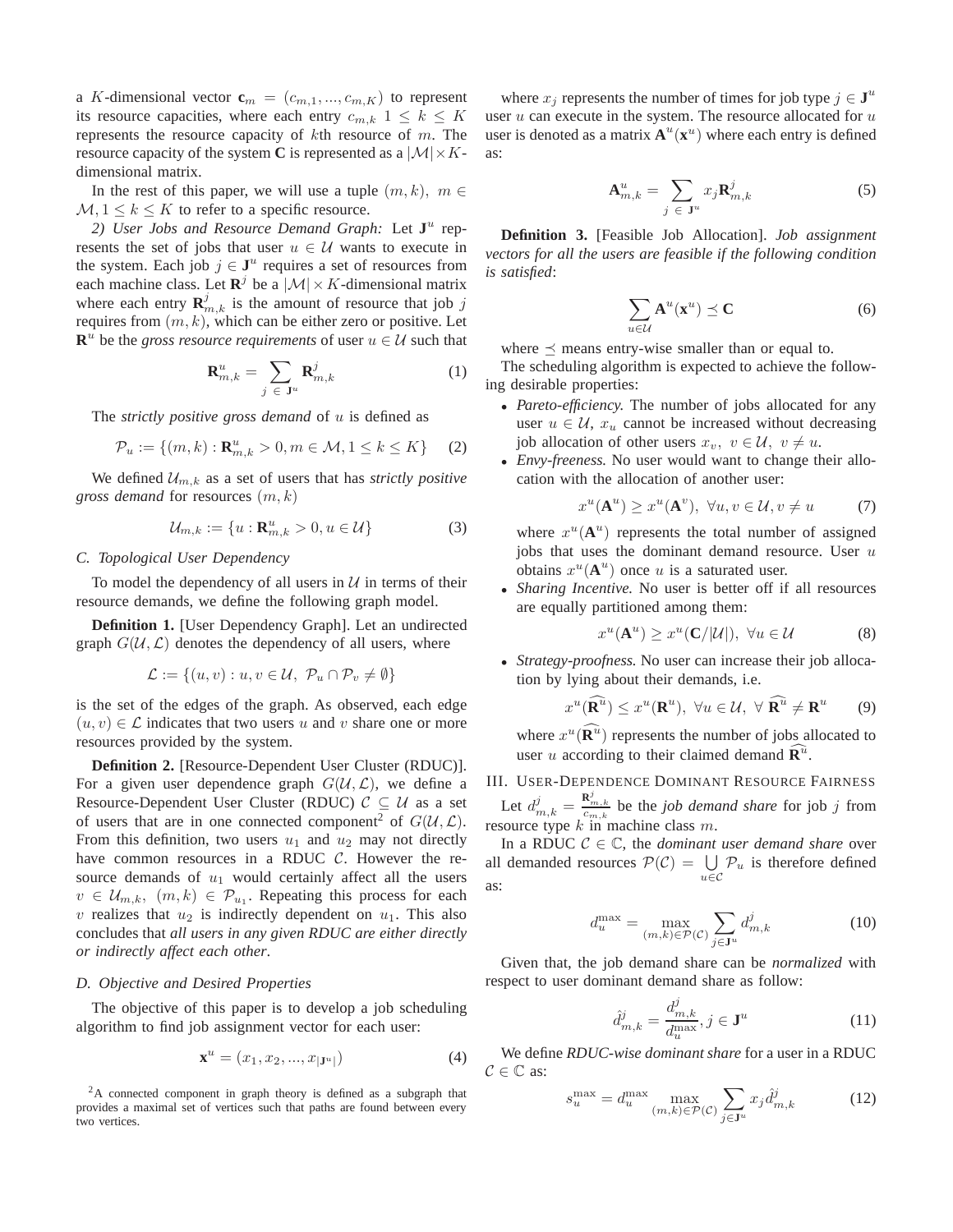a K-dimensional vector  $\mathbf{c}_m = (c_{m,1},...,c_{m,K})$  to represent its resource capacities, where each entry  $c_{m,k}$   $1 \leq k \leq K$ represents the resource capacity of  $k$ th resource of  $m$ . The resource capacity of the system C is represented as a  $|\mathcal{M}| \times K$ dimensional matrix.

In the rest of this paper, we will use a tuple  $(m, k)$ ,  $m \in$  $M, 1 \leq k \leq K$  to refer to a specific resource.

2) User Jobs and Resource Demand Graph: Let  $J^u$  represents the set of jobs that user  $u \in \mathcal{U}$  wants to execute in the system. Each job  $j \in J^u$  requires a set of resources from each machine class. Let  $\mathbb{R}^j$  be a  $|\mathcal{M}| \times K$ -dimensional matrix where each entry  $\mathbf{R}_{m,k}^j$  is the amount of resource that job j requires from  $(m, k)$ , which can be either zero or positive. Let  $\mathbf{R}^u$  be the *gross resource requirements* of user  $u \in \mathcal{U}$  such that

$$
\mathbf{R}_{m,k}^{u} = \sum_{j \in \mathbf{J}^{u}} \mathbf{R}_{m,k}^{j}
$$
 (1)

The *strictly positive gross demand* of u is defined as

$$
\mathcal{P}_u := \{ (m, k) : \mathbf{R}_{m, k}^u > 0, m \in \mathcal{M}, 1 \le k \le K \} \tag{2}
$$

We defined  $\mathcal{U}_{m,k}$  as a set of users that has *strictly positive gross demand* for resources  $(m, k)$ 

$$
\mathcal{U}_{m,k} := \{ u : \mathbf{R}_{m,k}^u > 0, u \in \mathcal{U} \}
$$
 (3)

## *C. Topological User Dependency*

To model the dependency of all users in  $U$  in terms of their resource demands, we define the following graph model.

**Definition 1.** [User Dependency Graph]. Let an undirected graph  $G(\mathcal{U}, \mathcal{L})$  denotes the dependency of all users, where

$$
\mathcal{L} := \{(u, v) : u, v \in \mathcal{U}, \ \mathcal{P}_u \cap \mathcal{P}_v \neq \emptyset\}
$$

is the set of the edges of the graph. As observed, each edge  $(u, v) \in \mathcal{L}$  indicates that two users u and v share one or more resources provided by the system.

**Definition 2.** [Resource-Dependent User Cluster (RDUC)]. For a given user dependence graph  $G(\mathcal{U}, \mathcal{L})$ , we define a Resource-Dependent User Cluster (RDUC)  $C \subseteq U$  as a set of users that are in one connected component<sup>2</sup> of  $G(\mathcal{U}, \mathcal{L})$ . From this definition, two users  $u_1$  and  $u_2$  may not directly have common resources in a RDUC  $C$ . However the resource demands of  $u_1$  would certainly affect all the users  $v \in \mathcal{U}_{m,k}, \ (m,k) \in \mathcal{P}_{u_1}$ . Repeating this process for each v realizes that  $u_2$  is indirectly dependent on  $u_1$ . This also concludes that *all users in any given RDUC are either directly or indirectly affect each other*.

#### *D. Objective and Desired Properties*

The objective of this paper is to develop a job scheduling algorithm to find job assignment vector for each user:

$$
\mathbf{x}^u = (x_1, x_2, ..., x_{|\mathbf{J}^u|})
$$
(4)

 $2A$  connected component in graph theory is defined as a subgraph that provides a maximal set of vertices such that paths are found between every two vertices.

where  $x_j$  represents the number of times for job type  $j \in \mathbf{J}^u$ user  $u$  can execute in the system. The resource allocated for  $u$ user is denoted as a matrix  $A^u(x^u)$  where each entry is defined as:

$$
\mathbf{A}_{m,k}^{u} = \sum_{j \in \mathbf{J}^{u}} x_{j} \mathbf{R}_{m,k}^{j}
$$
 (5)

**Definition 3.** [Feasible Job Allocation]. *Job assignment vectors for all the users are feasible if the following condition is satisfied*:

$$
\sum_{u \in \mathcal{U}} \mathbf{A}^u(\mathbf{x}^u) \preceq \mathbf{C} \tag{6}
$$

where  $\preceq$  means entry-wise smaller than or equal to.

The scheduling algorithm is expected to achieve the following desirable properties:

- *Pareto-efficiency.* The number of jobs allocated for any user  $u \in \mathcal{U}$ ,  $x_u$  cannot be increased without decreasing job allocation of other users  $x_v$ ,  $v \in \mathcal{U}$ ,  $v \neq u$ .
- *Envy-freeness.* No user would want to change their allocation with the allocation of another user:

$$
x^{u}(\mathbf{A}^{u}) \geq x^{u}(\mathbf{A}^{v}), \ \forall u, v \in \mathcal{U}, v \neq u \tag{7}
$$

where  $x^u(\mathbf{A}^u)$  represents the total number of assigned jobs that uses the dominant demand resource. User  $u$ obtains  $x^u(A^u)$  once u is a saturated user.

• *Sharing Incentive.* No user is better off if all resources are equally partitioned among them:

$$
x^u(\mathbf{A}^u) \ge x^u(\mathbf{C}/|\mathcal{U}|), \ \forall u \in \mathcal{U}
$$
 (8)

• *Strategy-proofness.* No user can increase their job allocation by lying about their demands, i.e.

$$
x^{u}(\widehat{\mathbf{R}}^{u}) \leq x^{u}(\mathbf{R}^{u}), \ \forall u \in \mathcal{U}, \ \forall \ \widehat{\mathbf{R}}^{u} \neq \mathbf{R}^{u} \qquad (9)
$$

where  $x^u(\hat{\mathbf{R}}^u)$  represents the number of jobs allocated to user u according to their claimed demand  $\widehat{\mathbf{R}^u}$ .

# III. USER-DEPENDENCE DOMINANT RESOURCE FAIRNESS

Let  $d_{m,k}^j = \frac{\mathbf{R}_{m,k}^j}{c_{m,k}}$  be the *job demand share* for job *j* from resource type  $k$  in machine class  $m$ .

In a RDUC  $C \in \mathbb{C}$ , the *dominant user demand share* over all demanded resources  $\mathcal{P}(\mathcal{C}) = \bigcup$  $\bigcup_{u \in \mathcal{C}} \mathcal{P}_u$  is therefore defined as:

$$
d_u^{\max} = \max_{(m,k)\in\mathcal{P}(\mathcal{C})} \sum_{j\in\mathbf{J}^u} d_{m,k}^j
$$
 (10)

Given that, the job demand share can be *normalized* with respect to user dominant demand share as follow:

$$
\hat{d}_{m,k}^j = \frac{d_{m,k}^j}{d_u^{\max}}, j \in \mathbf{J}^u
$$
\n(11)

We define *RDUC-wise dominant share* for a user in a RDUC  $C \in \mathbb{C}$  as:

$$
s_u^{\max} = d_u^{\max} \max_{(m,k)\in\mathcal{P}(\mathcal{C})} \sum_{j\in\mathbf{J}^u} x_j \hat{d}_{m,k}^j \tag{12}
$$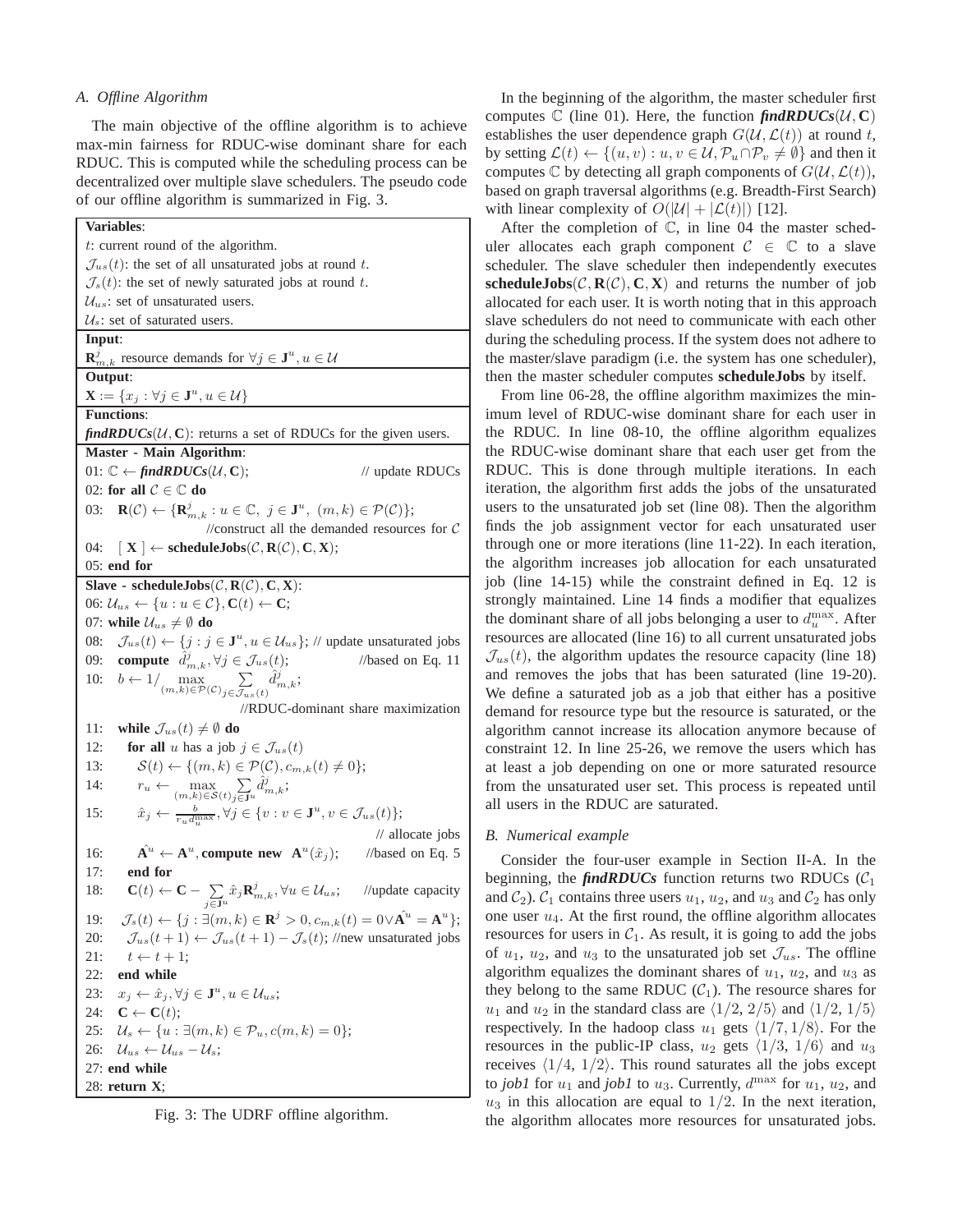## *A. Offline Algorithm*

The main objective of the offline algorithm is to achieve max-min fairness for RDUC-wise dominant share for each RDUC. This is computed while the scheduling process can be decentralized over multiple slave schedulers. The pseudo code of our offline algorithm is summarized in Fig. 3.

| Variables:                                                                                                                                               |
|----------------------------------------------------------------------------------------------------------------------------------------------------------|
| t: current round of the algorithm.                                                                                                                       |
| $\mathcal{J}_{us}(t)$ : the set of all unsaturated jobs at round t.                                                                                      |
| $\mathcal{J}_s(t)$ : the set of newly saturated jobs at round t.                                                                                         |
| $\mathcal{U}_{us}$ : set of unsaturated users.                                                                                                           |
| $\mathcal{U}_s$ : set of saturated users.                                                                                                                |
| Input:                                                                                                                                                   |
| $\mathbf{R}_{m,k}^j$ resource demands for $\forall j \in \mathbf{J}^u, u \in \mathcal{U}$                                                                |
| Output:                                                                                                                                                  |
| $\mathbf{X} := \{x_j : \forall j \in \mathbf{J}^u, u \in \mathcal{U}\}\$                                                                                 |
| <b>Functions:</b>                                                                                                                                        |
| $\mathit{findRDUCs}(\mathcal{U}, C)$ : returns a set of RDUCs for the given users.                                                                       |
| <b>Master - Main Algorithm:</b>                                                                                                                          |
| 01: $\mathbb{C} \leftarrow \text{findR DUCs}(\mathcal{U}, \mathbf{C});$<br>// update RDUCs                                                               |
| 02: for all $C \in \mathbb{C}$ do                                                                                                                        |
| $\mathbf{R}(\mathcal{C}) \leftarrow {\{\mathbf{R}_{m,k}^j : u \in \mathbb{C}, j \in \mathbf{J}^u, (m,k) \in \mathcal{P}(\mathcal{C})\};$<br>03:          |
| //construct all the demanded resources for $C$                                                                                                           |
| $\mathbb{E}[\mathbf{X}] \leftarrow \textbf{scheduleJobs}(\mathcal{C}, \mathbf{R}(\mathcal{C}), \mathbf{C}, \mathbf{X});$<br>04:                          |
| $05:$ end for                                                                                                                                            |
| Slave - scheduleJobs( $C, R(C), C, X$ ):                                                                                                                 |
| 06: $\mathcal{U}_{us} \leftarrow \{u : u \in \mathcal{C}\}, \mathbf{C}(t) \leftarrow \mathbf{C};$                                                        |
| 07: while $\mathcal{U}_{us} \neq \emptyset$ do                                                                                                           |
| $\mathcal{J}_{us}(t) \leftarrow \{j : j \in \mathbf{J}^u, u \in \mathcal{U}_{us}\};$ // update unsaturated jobs<br>08:                                   |
| 09: <b>compute</b> $\hat{d}_{m,k}^j, \forall j \in \mathcal{J}_{us}(t)$ ;<br>//based on Eq. $11$                                                         |
| 10: $b \leftarrow 1/\max_{(m,k)\in \mathcal{P}(\mathcal{C})} \sum_{j\in \mathcal{J}_{us}(t)} \hat{d}_{m,k}^j$                                            |
| //RDUC-dominant share maximization                                                                                                                       |
| while $\mathcal{J}_{us}(t) \neq \emptyset$ do<br>11:                                                                                                     |
| for all u has a job $j \in \mathcal{J}_{us}(t)$<br>12:                                                                                                   |
| $\mathcal{S}(t) \leftarrow \{(m,k) \in \mathcal{P}(\mathcal{C}), c_{m,k}(t) \neq 0\};$<br>13:                                                            |
| $r_u \leftarrow \max_{(m,k)\in\mathcal{S}(t)} \sum_{j\in\mathbf{J}^u} d_{m,k}^j;$<br>14:                                                                 |
| $\hat{x}_j \leftarrow \frac{b}{r_u d_u^{\max}}, \forall j \in \{v : v \in \mathbf{J}^u, v \in \mathcal{J}_{us}(t)\};$<br>15:                             |
| // allocate jobs                                                                                                                                         |
| $\mathbf{A}^u \leftarrow \mathbf{A}^u$ , compute new $\mathbf{A}^u(\hat{x}_j)$ ; //based on Eq. 5<br>16:                                                 |
| end for<br>17:                                                                                                                                           |
| $\mathbf{C}(t) \leftarrow \mathbf{C} - \sum_{j \in \mathbf{J}^u} \hat{x}_j \mathbf{R}_{m,k}^j, \forall u \in \mathcal{U}_{us};$ //update capacity<br>18: |
| $\mathcal{J}_s(t) \leftarrow \{j: \exists (m,k) \in \mathbf{R}^j > 0, c_{m,k}(t) = 0 \vee \hat{\mathbf{A}^u} = \mathbf{A}^u\};$<br>19:                   |
| $\mathcal{J}_{us}(t+1) \leftarrow \mathcal{J}_{us}(t+1) - \mathcal{J}_{s}(t)$ ; //new unsaturated jobs<br>20:                                            |
| 21:<br>$t \leftarrow t + 1;$                                                                                                                             |
| 22:<br>end while                                                                                                                                         |
| $x_j \leftarrow \hat{x}_j, \forall j \in \mathbf{J}^u, u \in \mathcal{U}_{us};$<br>23:                                                                   |
| 24:<br>$\mathbf{C} \leftarrow \mathbf{C}(t);$                                                                                                            |
| $\mathcal{U}_s \leftarrow \{u : \exists (m,k) \in \mathcal{P}_u, c(m,k) = 0\};$<br>25:                                                                   |
| 26:<br>$\mathcal{U}_{us} \leftarrow \mathcal{U}_{us} - \mathcal{U}_s;$                                                                                   |
| 27: end while                                                                                                                                            |
| 28: return X;                                                                                                                                            |
|                                                                                                                                                          |

Fig. 3: The UDRF offline algorithm.

In the beginning of the algorithm, the master scheduler first computes  $\mathbb{C}$  (line 01). Here, the function  $\mathit{findRDUCs}(\mathcal{U}, \mathbb{C})$ establishes the user dependence graph  $G(\mathcal{U}, \mathcal{L}(t))$  at round t, by setting  $\mathcal{L}(t) \leftarrow \{(u, v) : u, v \in \mathcal{U}, \mathcal{P}_u \cap \mathcal{P}_v \neq \emptyset\}$  and then it computes C by detecting all graph components of  $G(\mathcal{U},\mathcal{L}(t)),$ based on graph traversal algorithms (e.g. Breadth-First Search) with linear complexity of  $O(|\mathcal{U}| + |\mathcal{L}(t)|)$  [12].

After the completion of C, in line 04 the master scheduler allocates each graph component  $C \in \mathbb{C}$  to a slave scheduler. The slave scheduler then independently executes **scheduleJobs** $(C, R(C), C, X)$  and returns the number of job allocated for each user. It is worth noting that in this approach slave schedulers do not need to communicate with each other during the scheduling process. If the system does not adhere to the master/slave paradigm (i.e. the system has one scheduler), then the master scheduler computes **scheduleJobs** by itself.

From line 06-28, the offline algorithm maximizes the minimum level of RDUC-wise dominant share for each user in the RDUC. In line 08-10, the offline algorithm equalizes the RDUC-wise dominant share that each user get from the RDUC. This is done through multiple iterations. In each iteration, the algorithm first adds the jobs of the unsaturated users to the unsaturated job set (line 08). Then the algorithm finds the job assignment vector for each unsaturated user through one or more iterations (line 11-22). In each iteration, the algorithm increases job allocation for each unsaturated job (line 14-15) while the constraint defined in Eq. 12 is strongly maintained. Line 14 finds a modifier that equalizes the dominant share of all jobs belonging a user to  $d_u^{\max}$ . After resources are allocated (line 16) to all current unsaturated jobs  $\mathcal{J}_{us}(t)$ , the algorithm updates the resource capacity (line 18) and removes the jobs that has been saturated (line 19-20). We define a saturated job as a job that either has a positive demand for resource type but the resource is saturated, or the algorithm cannot increase its allocation anymore because of constraint 12. In line 25-26, we remove the users which has at least a job depending on one or more saturated resource from the unsaturated user set. This process is repeated until all users in the RDUC are saturated.

#### *B. Numerical example*

Consider the four-user example in Section II-A. In the beginning, the *findRDUCs* function returns two RDUCs  $(C_1)$ and  $C_2$ ).  $C_1$  contains three users  $u_1$ ,  $u_2$ , and  $u_3$  and  $C_2$  has only one user  $u_4$ . At the first round, the offline algorithm allocates resources for users in  $C_1$ . As result, it is going to add the jobs of  $u_1$ ,  $u_2$ , and  $u_3$  to the unsaturated job set  $\mathcal{J}_{us}$ . The offline algorithm equalizes the dominant shares of  $u_1$ ,  $u_2$ , and  $u_3$  as they belong to the same RDUC  $(C_1)$ . The resource shares for  $u_1$  and  $u_2$  in the standard class are  $\langle 1/2, 2/5 \rangle$  and  $\langle 1/2, 1/5 \rangle$ respectively. In the hadoop class  $u_1$  gets  $\langle 1/7, 1/8 \rangle$ . For the resources in the public-IP class,  $u_2$  gets  $\langle 1/3, 1/6 \rangle$  and  $u_3$ receives  $\langle 1/4, 1/2 \rangle$ . This round saturates all the jobs except to *job1* for  $u_1$  and *job1* to  $u_3$ . Currently,  $d^{\max}$  for  $u_1$ ,  $u_2$ , and  $u_3$  in this allocation are equal to  $1/2$ . In the next iteration, the algorithm allocates more resources for unsaturated jobs.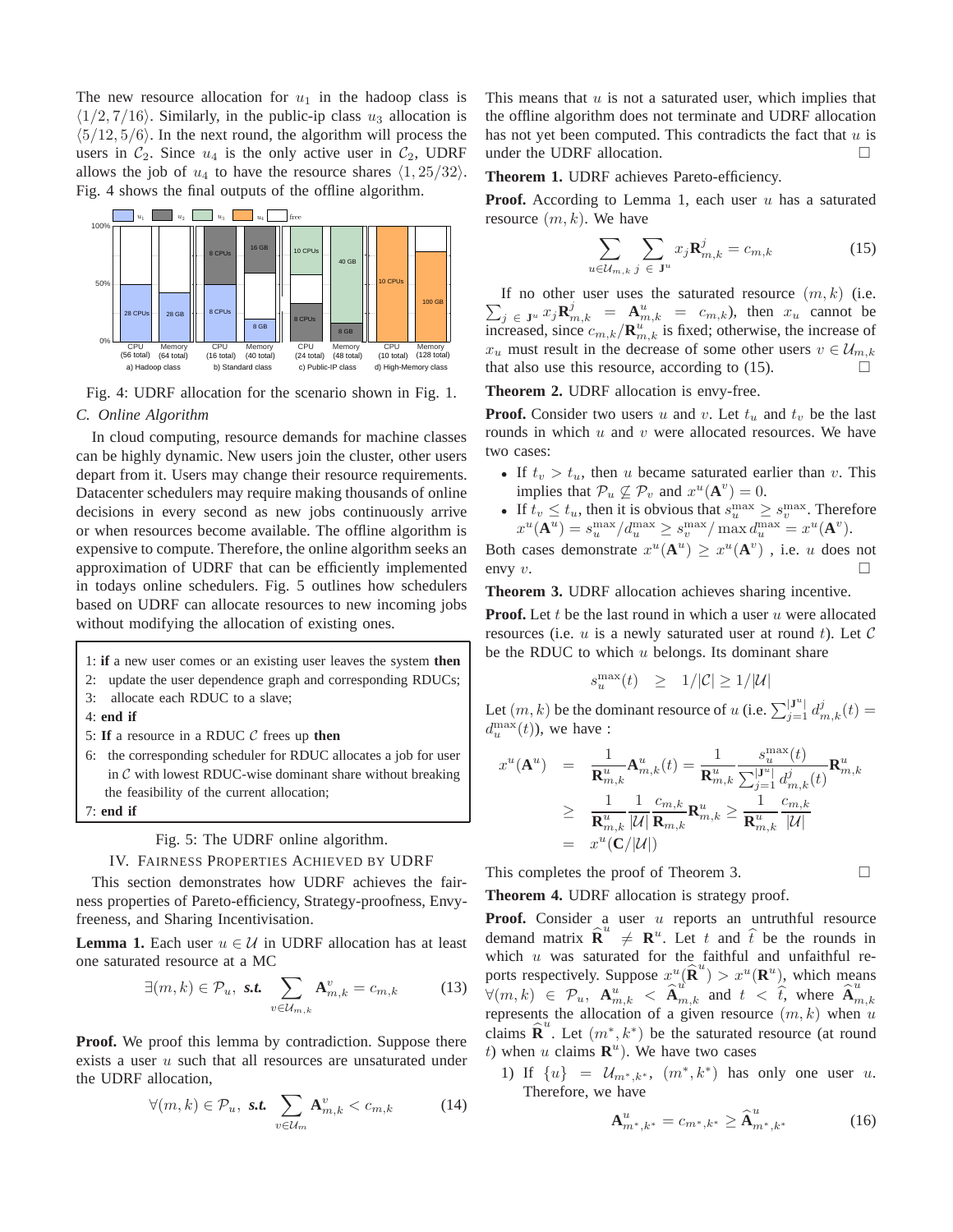The new resource allocation for  $u_1$  in the hadoop class is  $\langle 1/2, 7/16 \rangle$ . Similarly, in the public-ip class  $u_3$  allocation is  $\langle 5/12, 5/6 \rangle$ . In the next round, the algorithm will process the users in  $C_2$ . Since  $u_4$  is the only active user in  $C_2$ , UDRF allows the job of  $u_4$  to have the resource shares  $\langle 1, 25/32 \rangle$ . Fig. 4 shows the final outputs of the offline algorithm.



Fig. 4: UDRF allocation for the scenario shown in Fig. 1. *C. Online Algorithm*

In cloud computing, resource demands for machine classes can be highly dynamic. New users join the cluster, other users depart from it. Users may change their resource requirements. Datacenter schedulers may require making thousands of online decisions in every second as new jobs continuously arrive or when resources become available. The offline algorithm is expensive to compute. Therefore, the online algorithm seeks an approximation of UDRF that can be efficiently implemented in todays online schedulers. Fig. 5 outlines how schedulers based on UDRF can allocate resources to new incoming jobs without modifying the allocation of existing ones.

- 1: **if** a new user comes or an existing user leaves the system **then**
- 2: update the user dependence graph and corresponding RDUCs;
- 3: allocate each RDUC to a slave;
- 4: **end if**
- 5: **If** a resource in a RDUC C frees up **then**
- 6: the corresponding scheduler for RDUC allocates a job for user in  $C$  with lowest RDUC-wise dominant share without breaking the feasibility of the current allocation;
- 7: **end if**

Fig. 5: The UDRF online algorithm.

#### IV. FAIRNESS PROPERTIES ACHIEVED BY UDRF

This section demonstrates how UDRF achieves the fairness properties of Pareto-efficiency, Strategy-proofness, Envyfreeness, and Sharing Incentivisation.

**Lemma 1.** Each user  $u \in \mathcal{U}$  in UDRF allocation has at least one saturated resource at a MC

$$
\exists (m,k) \in \mathcal{P}_u, \text{ s.t. } \sum_{v \in \mathcal{U}_{m,k}} \mathbf{A}_{m,k}^v = c_{m,k} \tag{13}
$$

**Proof.** We proof this lemma by contradiction. Suppose there exists a user u such that all resources are unsaturated under the UDRF allocation,

$$
\forall (m,k) \in \mathcal{P}_u, \text{ s.t. } \sum_{v \in \mathcal{U}_m} \mathbf{A}_{m,k}^v < c_{m,k} \tag{14}
$$

This means that  $u$  is not a saturated user, which implies that the offline algorithm does not terminate and UDRF allocation has not yet been computed. This contradicts the fact that  $u$  is under the UDRF allocation.

**Theorem 1.** UDRF achieves Pareto-efficiency.

**Proof.** According to Lemma 1, each user u has a saturated resource  $(m, k)$ . We have

$$
\sum_{u \in \mathcal{U}_{m,k}} \sum_{j \in \mathbf{J}^u} x_j \mathbf{R}_{m,k}^j = c_{m,k} \tag{15}
$$

 $\sum_{j} \in \mathbf{J}^u$   $x_j \mathbf{R}_{m,k}^j = \mathbf{A}_{m,k}^u = c_{m,k}$ , then  $x_u$  cannot be If no other user uses the saturated resource  $(m, k)$  (i.e. increased, since  $c_{m,k}/\mathbf{R}_{m,k}^u$  is fixed; otherwise, the increase of  $x_u$  must result in the decrease of some other users  $v \in \mathcal{U}_{m,k}$ that also use this resource, according to  $(15)$ .

**Theorem 2.** UDRF allocation is envy-free.

**Proof.** Consider two users u and v. Let  $t_u$  and  $t_v$  be the last rounds in which  $u$  and  $v$  were allocated resources. We have two cases:

- If  $t_v > t_u$ , then u became saturated earlier than v. This implies that  $\mathcal{P}_u \not\subseteq \mathcal{P}_v$  and  $x^u(\mathbf{A}^v) = 0$ .
- If  $t_v \leq t_u$ , then it is obvious that  $s_u^{\max} \geq s_v^{\max}$ . Therefore  $x^u(\mathbf{A}^u) = s_u^{\max}/d_u^{\max} \geq s_v^{\max}/\max d_u^{\max} = x^u(\mathbf{A}^v).$

Both cases demonstrate  $x^u(A^u) \geq x^u(A^v)$ , i.e. u does not envy  $v$ .

**Theorem 3.** UDRF allocation achieves sharing incentive.

**Proof.** Let  $t$  be the last round in which a user  $u$  were allocated resources (i.e.  $u$  is a newly saturated user at round  $t$ ). Let  $\mathcal C$ be the RDUC to which  $u$  belongs. Its dominant share

$$
s_u^{\max}(t) \quad \geq \quad 1/|\mathcal{C}| \geq 1/|\mathcal{U}|
$$

Let  $(m, k)$  be the dominant resource of u (i.e.  $\sum_{j=1}^{|{\bf J}^u|} d^j_{m,k}(t) =$  $d_u^{\max}(t)$ ), we have :

$$
x^{u}(\mathbf{A}^{u}) = \frac{1}{\mathbf{R}_{m,k}^{u}} \mathbf{A}_{m,k}^{u}(t) = \frac{1}{\mathbf{R}_{m,k}^{u}} \frac{s_{u}^{\max}(t)}{\sum_{j=1}^{|\mathbf{J}^{u}|} d_{m,k}^{j}(t)} \mathbf{R}_{m,k}^{u}
$$
  
\n
$$
\geq \frac{1}{\mathbf{R}_{m,k}^{u}} \frac{1}{|\mathcal{U}|} \frac{c_{m,k}}{\mathbf{R}_{m,k}} \mathbf{R}_{m,k}^{u} \geq \frac{1}{\mathbf{R}_{m,k}^{u}} \frac{c_{m,k}}{|\mathcal{U}|}
$$
  
\n
$$
= x^{u}(\mathbf{C}/|\mathcal{U}|)
$$

This completes the proof of Theorem 3.

**Theorem 4.** UDRF allocation is strategy proof.

**Proof.** Consider a user u reports an untruthful resource demand matrix  $\hat{\mathbf{R}}^u \neq \mathbf{R}^u$ . Let t and  $\hat{t}$  be the rounds in which  $u$  was saturated for the faithful and unfaithful reports respectively. Suppose  $x^u(\hat{\mathbf{R}}^u) > x^u(\mathbf{R}^u)$ , which means  $\forall (m, k) \in \mathcal{P}_u, \ \mathbf{A}_{m,k}^u \leq \hat{\mathbf{A}}_{m,k}^u \text{ and } t \leq \hat{\hat{t}}$ , where  $\hat{\mathbf{A}}_m^u$  $_{m,k}$ represents the allocation of a given resource  $(m, k)$  when u claims  $\hat{\mathbf{R}}^u$ . Let  $(m^*, k^*)$  be the saturated resource (at round t) when u claims  $\mathbf{R}^u$ ). We have two cases

1) If  $\{u\} = \mathcal{U}_{m^*,k^*}, (m^*,k^*)$  has only one user u. Therefore, we have

$$
\mathbf{A}_{m^*,k^*}^u = c_{m^*,k^*} \ge \widehat{\mathbf{A}}_{m^*,k^*}^u \tag{16}
$$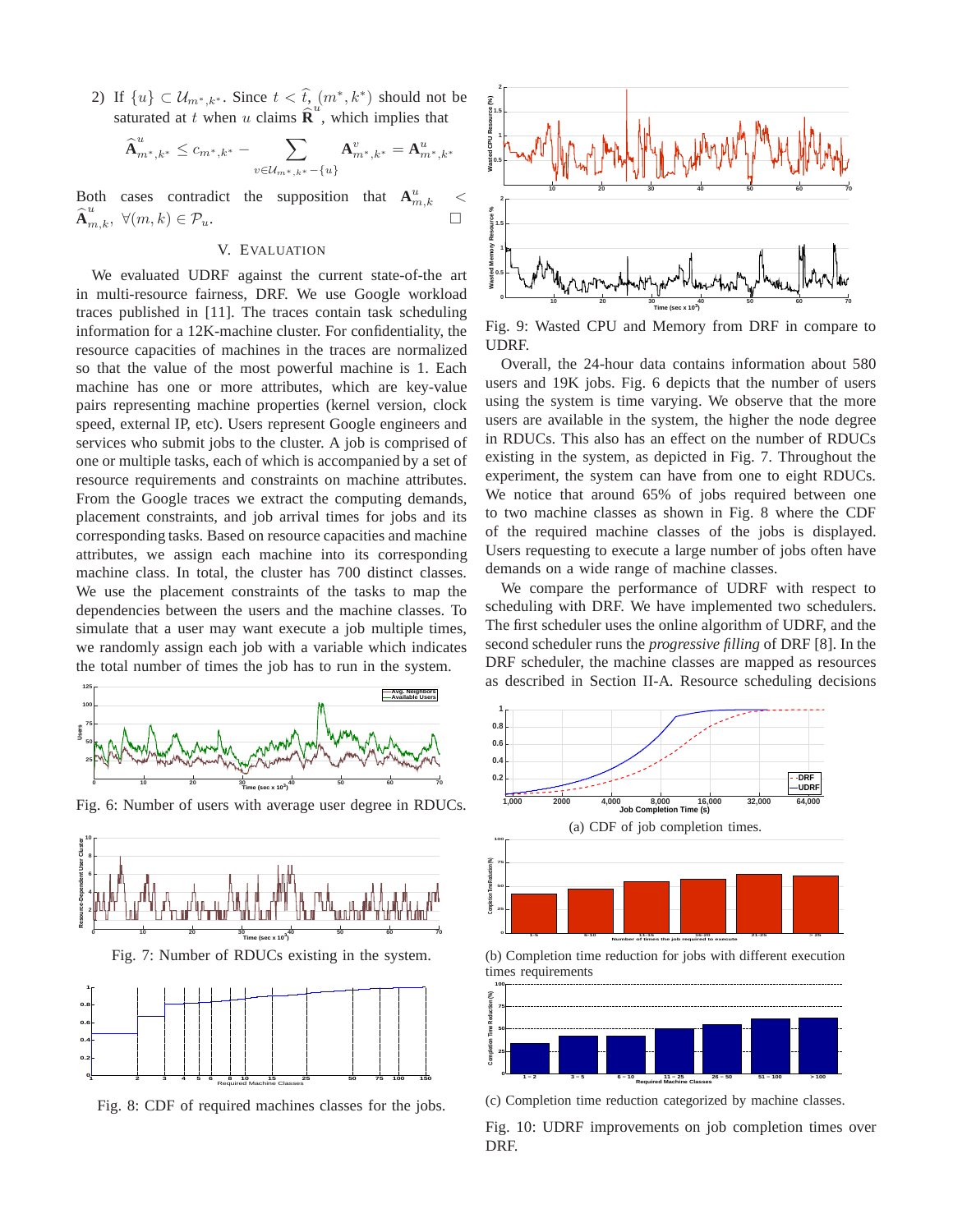2) If  $\{u\} \subset \mathcal{U}_{m^*,k^*}$ . Since  $t < \widehat{t}_{\widehat{n}}(m^*,k^*)$  should not be saturated at t when u claims  $\hat{\mathbf{R}}^u$ , which implies that

$$
\widehat{\textbf{A}}_{m^*,k^*}^u \leq c_{m^*,k^*}-\sum_{v\in \mathcal{U}_{m^*,k^*}-\{u\}}\textbf{A}_{m^*,k^*}^v = \textbf{A}_{m^*,k^*}^u
$$

Both cases contradict the supposition that  $A_{m,k}^u$  <  $\widehat{\mathbf{A}}^{u}_{m,k}, \ \forall (m,k) \in \mathcal{P}_u.$ 

## V. EVALUATION

We evaluated UDRF against the current state-of-the art in multi-resource fairness, DRF. We use Google workload traces published in [11]. The traces contain task scheduling information for a 12K-machine cluster. For confidentiality, the resource capacities of machines in the traces are normalized so that the value of the most powerful machine is 1. Each machine has one or more attributes, which are key-value pairs representing machine properties (kernel version, clock speed, external IP, etc). Users represent Google engineers and services who submit jobs to the cluster. A job is comprised of one or multiple tasks, each of which is accompanied by a set of resource requirements and constraints on machine attributes. From the Google traces we extract the computing demands, placement constraints, and job arrival times for jobs and its corresponding tasks. Based on resource capacities and machine attributes, we assign each machine into its corresponding machine class. In total, the cluster has 700 distinct classes. We use the placement constraints of the tasks to map the dependencies between the users and the machine classes. To simulate that a user may want execute a job multiple times, we randomly assign each job with a variable which indicates the total number of times the job has to run in the system.



Fig. 6: Number of users with average user degree in RDUCs.

**10**





Fig. 8: CDF of required machines classes for the jobs.



Fig. 9: Wasted CPU and Memory from DRF in compare to UDRF.

Overall, the 24-hour data contains information about 580 users and 19K jobs. Fig. 6 depicts that the number of users using the system is time varying. We observe that the more users are available in the system, the higher the node degree in RDUCs. This also has an effect on the number of RDUCs existing in the system, as depicted in Fig. 7. Throughout the experiment, the system can have from one to eight RDUCs. We notice that around 65% of jobs required between one to two machine classes as shown in Fig. 8 where the CDF of the required machine classes of the jobs is displayed. Users requesting to execute a large number of jobs often have demands on a wide range of machine classes.

We compare the performance of UDRF with respect to scheduling with DRF. We have implemented two schedulers. The first scheduler uses the online algorithm of UDRF, and the second scheduler runs the *progressive filling* of DRF [8]. In the DRF scheduler, the machine classes are mapped as resources as described in Section II-A. Resource scheduling decisions





(b) Completion time reduction for jobs with different execution times requirements



(c) Completion time reduction categorized by machine classes.

Fig. 10: UDRF improvements on job completion times over DRF.